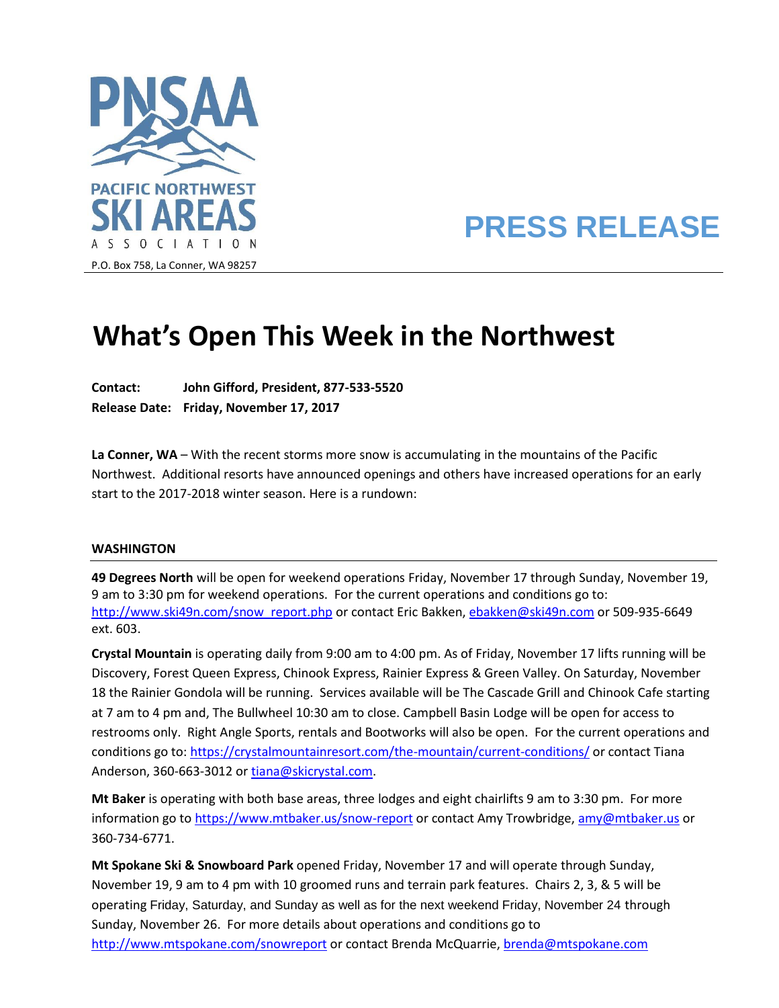

# **PRESS RELEASE**

# **What's Open This Week in the Northwest**

**Contact: John Gifford, President, 877-533-5520 Release Date: Friday, November 17, 2017**

**La Conner, WA** – With the recent storms more snow is accumulating in the mountains of the Pacific Northwest. Additional resorts have announced openings and others have increased operations for an early start to the 2017-2018 winter season. Here is a rundown:

## **WASHINGTON**

**49 Degrees North** will be open for weekend operations Friday, November 17 through Sunday, November 19, 9 am to 3:30 pm for weekend operations. For the current operations and conditions go to: [http://www.ski49n.com/snow\\_report.php](http://www.ski49n.com/snow_report.php) or contact Eric Bakken[, ebakken@ski49n.com](mailto:ebakken@ski49n.com) or 509-935-6649 ext. 603.

**Crystal Mountain** is operating daily from 9:00 am to 4:00 pm. As of Friday, November 17 lifts running will be Discovery, Forest Queen Express, Chinook Express, Rainier Express & Green Valley. On Saturday, November 18 the Rainier Gondola will be running. Services available will be The Cascade Grill and Chinook Cafe starting at 7 am to 4 pm and, The Bullwheel 10:30 am to close. Campbell Basin Lodge will be open for access to restrooms only. Right Angle Sports, rentals and Bootworks will also be open. For the current operations and conditions go to[: https://crystalmountainresort.com/the-mountain/current-conditions/](https://crystalmountainresort.com/the-mountain/current-conditions/) or contact Tiana Anderson, 360-663-3012 o[r tiana@skicrystal.com.](mailto:tiana@skicrystal.com)

**Mt Baker** is operating with both base areas, three lodges and eight chairlifts 9 am to 3:30 pm. For more information go to<https://www.mtbaker.us/snow-report> or contact Amy Trowbridge[, amy@mtbaker.us](mailto:amy@mtbaker.us) or 360-734-6771.

**Mt Spokane Ski & Snowboard Park** opened Friday, November 17 and will operate through Sunday, November 19, 9 am to 4 pm with 10 groomed runs and terrain park features. Chairs 2, 3, & 5 will be operating Friday, Saturday, and Sunday as well as for the next weekend Friday, November 24 through Sunday, November 26. For more details about operations and conditions go to <http://www.mtspokane.com/snowreport> or contact Brenda McQuarrie[, brenda@mtspokane.com](mailto:brenda@mtspokane.com)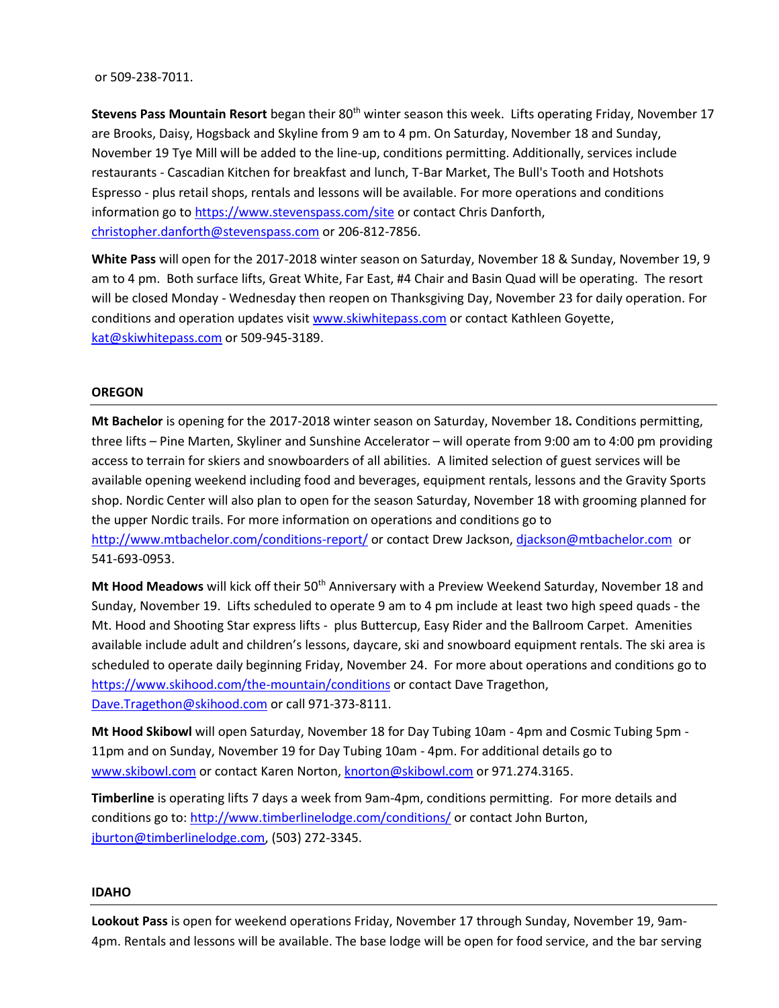#### or 509-238-7011.

**Stevens Pass Mountain Resort** began their 80th winter season this week. Lifts operating Friday, November 17 are Brooks, Daisy, Hogsback and Skyline from 9 am to 4 pm. On Saturday, November 18 and Sunday, November 19 Tye Mill will be added to the line-up, conditions permitting. Additionally, services include restaurants - Cascadian Kitchen for breakfast and lunch, T-Bar Market, The Bull's Tooth and Hotshots Espresso - plus retail shops, rentals and lessons will be available. For more operations and conditions information go to<https://www.stevenspass.com/site> or contact Chris Danforth, [christopher.danforth@stevenspass.com](mailto:christopher.danforth@stevenspass.com) or 206-812-7856.

**White Pass** will open for the 2017-2018 winter season on Saturday, November 18 & Sunday, November 19, 9 am to 4 pm. Both surface lifts, Great White, Far East, #4 Chair and Basin Quad will be operating. The resort will be closed Monday - Wednesday then reopen on Thanksgiving Day, November 23 for daily operation. For conditions and operation updates visit [www.skiwhitepass.com](http://www.skiwhitepass.com/) or contact Kathleen Goyette, [kat@skiwhitepass.com](mailto:kat@skiwhitepass.com) or 509-945-3189.

### **OREGON**

**Mt Bachelor** is opening for the 2017-2018 winter season on Saturday, November 18**.** Conditions permitting, three lifts – Pine Marten, Skyliner and Sunshine Accelerator – will operate from 9:00 am to 4:00 pm providing access to terrain for skiers and snowboarders of all abilities. A limited selection of guest services will be available opening weekend including food and beverages, equipment rentals, lessons and the Gravity Sports shop. Nordic Center will also plan to open for the season Saturday, November 18 with grooming planned for the upper Nordic trails. For more information on operations and conditions go to <http://www.mtbachelor.com/conditions-report/> or contact Drew Jackson, [djackson@mtbachelor.com](mailto:djackson@mtbachelor.com) or 541-693-0953.

Mt Hood Meadows will kick off their 50<sup>th</sup> Anniversary with a Preview Weekend Saturday, November 18 and Sunday, November 19. Lifts scheduled to operate 9 am to 4 pm include at least two high speed quads - the Mt. Hood and Shooting Star express lifts - plus Buttercup, Easy Rider and the Ballroom Carpet. Amenities available include adult and children's lessons, daycare, ski and snowboard equipment rentals. The ski area is scheduled to operate daily beginning Friday, November 24. For more about operations and conditions go to <https://www.skihood.com/the-mountain/conditions> or contact Dave Tragethon, [Dave.Tragethon@skihood.com](mailto:Dave.Tragethon@skihood.com) or call 971-373-8111.

**Mt Hood Skibowl** will open Saturday, November 18 for Day Tubing 10am - 4pm and Cosmic Tubing 5pm - 11pm and on Sunday, November 19 for Day Tubing 10am - 4pm. For additional details go to [www.skibowl.com](http://www.skibowl.com/) or contact Karen Norton[, knorton@skibowl.com](mailto:knorton@skibowl.com) or 971.274.3165.

**Timberline** is operating lifts 7 days a week from 9am-4pm, conditions permitting. For more details and conditions go to[: http://www.timberlinelodge.com/conditions/](http://www.timberlinelodge.com/conditions/) or contact John Burton, [jburton@timberlinelodge.com,](mailto:jburton@timberlinelodge.com) (503) 272-3345.

#### **IDAHO**

**Lookout Pass** is open for weekend operations Friday, November 17 through Sunday, November 19, 9am-4pm. Rentals and lessons will be available. The base lodge will be open for food service, and the bar serving